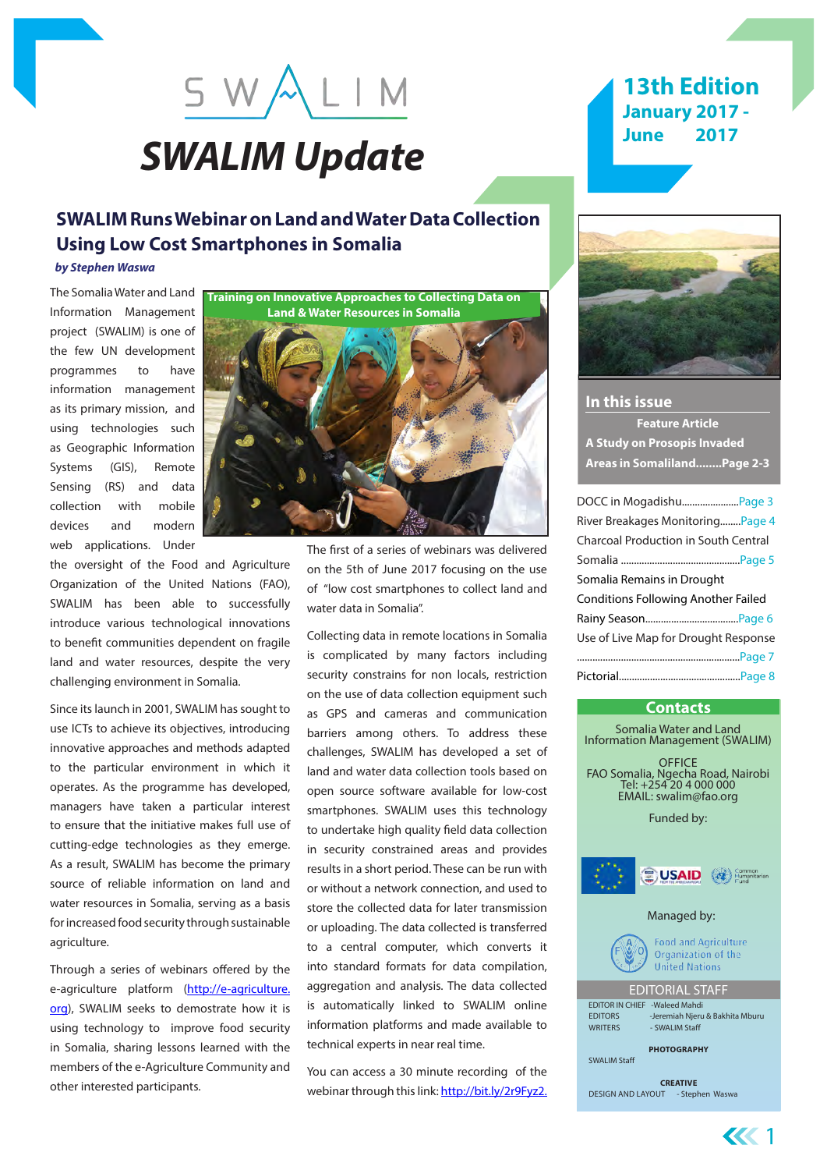# *SWALIM Update*

SWALIM

# **SWALIM Runs Webinar on Land and Water Data Collection Using Low Cost Smartphones in Somalia**

#### *by Stephen Waswa*

The Somalia Water and Land Information Management project (SWALIM) is one of the few UN development programmes to have information management as its primary mission, and using technologies such as Geographic Information Systems (GIS), Remote Sensing (RS) and data collection with mobile devices and modern web applications. Under

the oversight of the Food and Agriculture Organization of the United Nations (FAO), SWALIM has been able to successfully introduce various technological innovations to benefit communities dependent on fragile land and water resources, despite the very challenging environment in Somalia.

Since its launch in 2001, SWALIM has sought to use ICTs to achieve its objectives, introducing innovative approaches and methods adapted to the particular environment in which it operates. As the programme has developed, managers have taken a particular interest to ensure that the initiative makes full use of cutting-edge technologies as they emerge. As a result, SWALIM has become the primary source of reliable information on land and water resources in Somalia, serving as a basis for increased food security through sustainable agriculture.

Through a series of webinars offered by the e-agriculture platform ([http://e-agriculture.](http://e-agriculture.org) [org\)](http://e-agriculture.org), SWALIM seeks to demostrate how it is using technology to improve food security in Somalia, sharing lessons learned with the members of the e-Agriculture Community and other interested participants.

**Training on Innovative Approaches to Collecting Data on Land & Water Resources in Somalia**



The first of a series of webinars was delivered on the 5th of June 2017 focusing on the use of "low cost smartphones to collect land and water data in Somalia".

Collecting data in remote locations in Somalia is complicated by many factors including security constrains for non locals, restriction on the use of data collection equipment such as GPS and cameras and communication barriers among others. To address these challenges, SWALIM has developed a set of land and water data collection tools based on open source software available for low-cost smartphones. SWALIM uses this technology to undertake high quality field data collection in security constrained areas and provides results in a short period. These can be run with or without a network connection, and used to store the collected data for later transmission or uploading. The data collected is transferred to a central computer, which converts it into standard formats for data compilation, aggregation and analysis. The data collected is automatically linked to SWALIM online information platforms and made available to technical experts in near real time.

You can access a 30 minute recording of the webinar through this link: <http://bit.ly/2r9Fyz2>.

# **13th Edition January 2017 - June 2017**



**In this issue Feature Article A Study on Prosopis Invaded Areas in Somaliland........Page 2-3**

| DOCC in MogadishuPage 3                     |  |
|---------------------------------------------|--|
| River Breakages MonitoringPage 4            |  |
| <b>Charcoal Production in South Central</b> |  |
|                                             |  |
| Somalia Remains in Drought                  |  |
|                                             |  |
| <b>Conditions Following Another Failed</b>  |  |
|                                             |  |
| Use of Live Map for Drought Response        |  |
|                                             |  |
|                                             |  |

#### **Contacts**

Somalia Water and Land Information Management (SWALIM) **OFFICE** FAO Somalia, Ngecha Road, Nairobi Tel: +254 20 4 000 000<br>EMAIL: swalim@fao.org Funded by: **E** USAID (@) Common Managed by: **Food and Agriculture** Organization of the **United Nations** EDITORIAL STAFF EDITOR IN CHIEF -Waleed Mahdi EDITORS -Jeremiah Njeru & Bakhita Mburu<br>WRITERS - SWALIM Staff - SWALIM Staff **PHOTOGRAPHY** SWALIM Staff **CREATIVE** DESIGN AND LAYOUT - Stephen Waswa

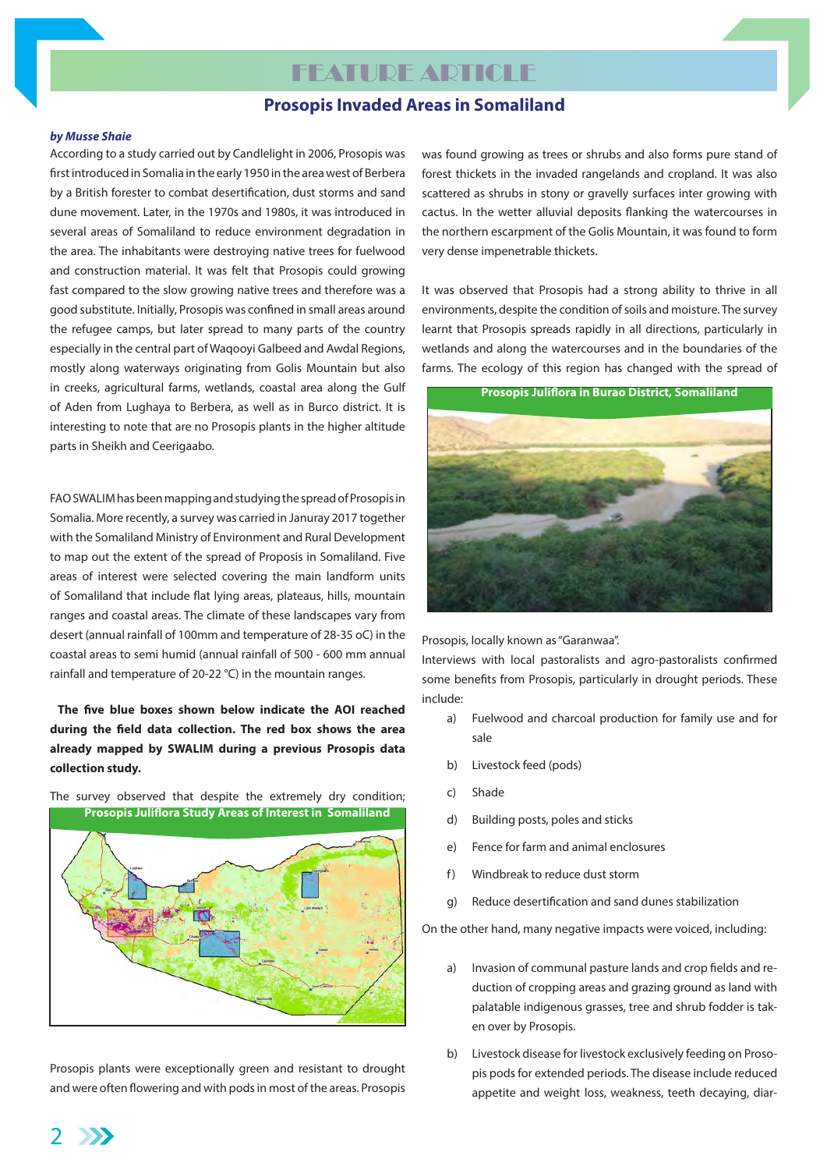# FEATURE ARTICLE

## **Prosopis Invaded Areas in Somaliland**

#### *by Musse Shaie*

According to a study carried out by Candlelight in 2006, Prosopis was first introduced in Somalia in the early 1950 in the area west of Berbera by a British forester to combat desertification, dust storms and sand dune movement. Later, in the 1970s and 1980s, it was introduced in several areas of Somaliland to reduce environment degradation in the area. The inhabitants were destroying native trees for fuelwood and construction material. It was felt that Prosopis could growing fast compared to the slow growing native trees and therefore was a good substitute. Initially, Prosopis was confined in small areas around the refugee camps, but later spread to many parts of the country especially in the central part of Waqooyi Galbeed and Awdal Regions, mostly along waterways originating from Golis Mountain but also in creeks, agricultural farms, wetlands, coastal area along the Gulf of Aden from Lughaya to Berbera, as well as in Burco district. It is interesting to note that are no Prosopis plants in the higher altitude parts in Sheikh and Ceerigaabo.

FAO SWALIM has been mapping and studying the spread of Prosopis in Somalia. More recently, a survey was carried in Januray 2017 together with the Somaliland Ministry of Environment and Rural Development to map out the extent of the spread of Proposis in Somaliland. Five areas of interest were selected covering the main landform units of Somaliland that include flat lying areas, plateaus, hills, mountain ranges and coastal areas. The climate of these landscapes vary from desert (annual rainfall of 100mm and temperature of 28-35 oC) in the coastal areas to semi humid (annual rainfall of 500 - 600 mm annual rainfall and temperature of 20-22 °C) in the mountain ranges.

**The five blue boxes shown below indicate the AOI reached during the field data collection. The red box shows the area already mapped by SWALIM during a previous Prosopis data collection study.**



The survey observed that despite the extremely dry condition; **Prosopis Juliflora Study Areas of Interest in Somaliland**

Prosopis plants were exceptionally green and resistant to drought and were often flowering and with pods in most of the areas. Prosopis was found growing as trees or shrubs and also forms pure stand of forest thickets in the invaded rangelands and cropland. It was also scattered as shrubs in stony or gravelly surfaces inter growing with cactus. In the wetter alluvial deposits flanking the watercourses in the northern escarpment of the Golis Mountain, it was found to form very dense impenetrable thickets.

It was observed that Prosopis had a strong ability to thrive in all environments, despite the condition of soils and moisture. The survey learnt that Prosopis spreads rapidly in all directions, particularly in wetlands and along the watercourses and in the boundaries of the farms. The ecology of this region has changed with the spread of





Prosopis, locally known as "Garanwaa".

Interviews with local pastoralists and agro-pastoralists confirmed some benefits from Prosopis, particularly in drought periods. These include:

- a) Fuelwood and charcoal production for family use and for sale
- b) Livestock feed (pods)
- c) Shade
- d) Building posts, poles and sticks
- e) Fence for farm and animal enclosures
- f) Windbreak to reduce dust storm
- g) Reduce desertification and sand dunes stabilization

On the other hand, many negative impacts were voiced, including:

- a) Invasion of communal pasture lands and crop fields and reduction of cropping areas and grazing ground as land with palatable indigenous grasses, tree and shrub fodder is taken over by Prosopis.
- b) Livestock disease for livestock exclusively feeding on Prosopis pods for extended periods. The disease include reduced appetite and weight loss, weakness, teeth decaying, diar-

2 **Expertise**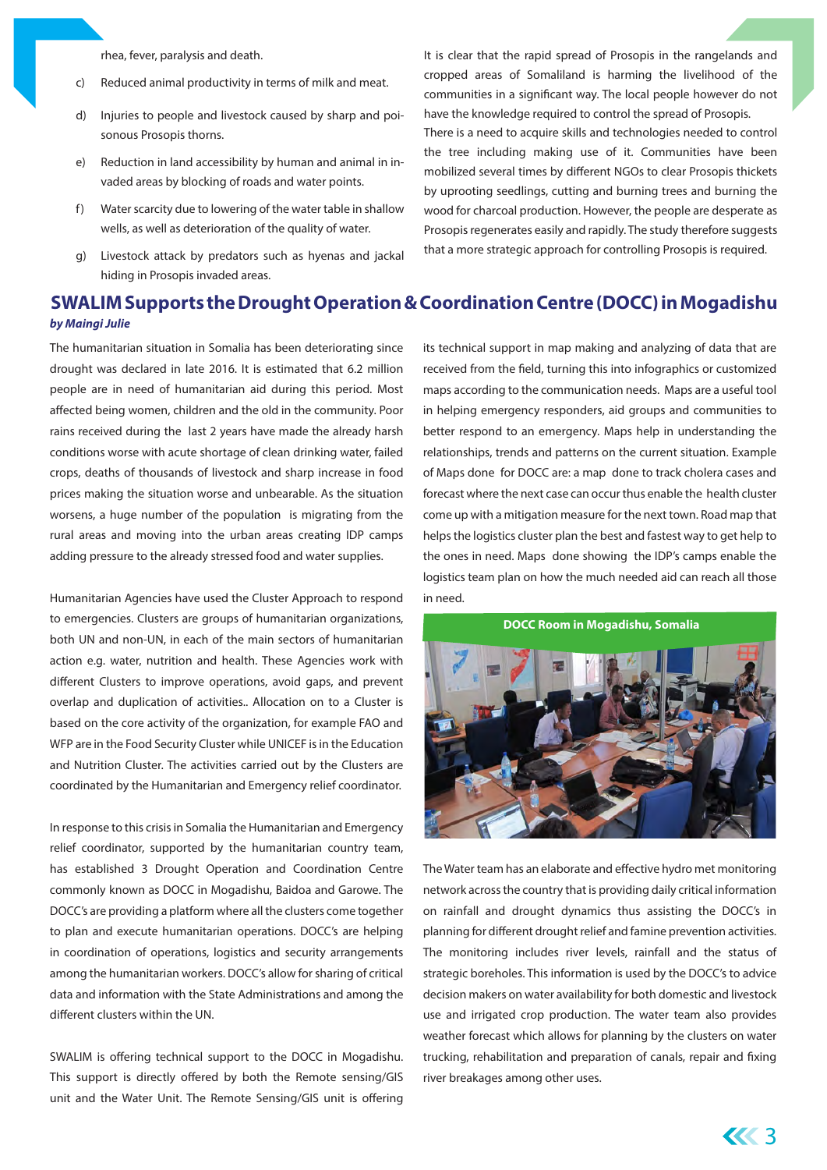rhea, fever, paralysis and death.

- c) Reduced animal productivity in terms of milk and meat.
- d) Injuries to people and livestock caused by sharp and poisonous Prosopis thorns.
- e) Reduction in land accessibility by human and animal in invaded areas by blocking of roads and water points.
- f) Water scarcity due to lowering of the water table in shallow wells, as well as deterioration of the quality of water.
- g) Livestock attack by predators such as hyenas and jackal hiding in Prosopis invaded areas.

It is clear that the rapid spread of Prosopis in the rangelands and cropped areas of Somaliland is harming the livelihood of the communities in a significant way. The local people however do not have the knowledge required to control the spread of Prosopis. There is a need to acquire skills and technologies needed to control

the tree including making use of it. Communities have been mobilized several times by different NGOs to clear Prosopis thickets by uprooting seedlings, cutting and burning trees and burning the wood for charcoal production. However, the people are desperate as Prosopis regenerates easily and rapidly. The study therefore suggests that a more strategic approach for controlling Prosopis is required.

# **SWALIM Supports the Drought Operation & Coordination Centre (DOCC) in Mogadishu** *by Maingi Julie*

The humanitarian situation in Somalia has been deteriorating since drought was declared in late 2016. It is estimated that 6.2 million people are in need of humanitarian aid during this period. Most affected being women, children and the old in the community. Poor rains received during the last 2 years have made the already harsh conditions worse with acute shortage of clean drinking water, failed crops, deaths of thousands of livestock and sharp increase in food prices making the situation worse and unbearable. As the situation worsens, a huge number of the population is migrating from the rural areas and moving into the urban areas creating IDP camps adding pressure to the already stressed food and water supplies.

Humanitarian Agencies have used the Cluster Approach to respond to emergencies. Clusters are groups of humanitarian organizations, both UN and non-UN, in each of the main sectors of humanitarian action e.g. water, nutrition and health. These Agencies work with different Clusters to improve operations, avoid gaps, and prevent overlap and duplication of activities.. Allocation on to a Cluster is based on the core activity of the organization, for example FAO and WFP are in the Food Security Cluster while UNICEF is in the Education and Nutrition Cluster. The activities carried out by the Clusters are coordinated by the Humanitarian and Emergency relief coordinator.

In response to this crisis in Somalia the Humanitarian and Emergency relief coordinator, supported by the humanitarian country team, has established 3 Drought Operation and Coordination Centre commonly known as DOCC in Mogadishu, Baidoa and Garowe. The DOCC's are providing a platform where all the clusters come together to plan and execute humanitarian operations. DOCC's are helping in coordination of operations, logistics and security arrangements among the humanitarian workers. DOCC's allow for sharing of critical data and information with the State Administrations and among the different clusters within the UN.

SWALIM is offering technical support to the DOCC in Mogadishu. This support is directly offered by both the Remote sensing/GIS unit and the Water Unit. The Remote Sensing/GIS unit is offering its technical support in map making and analyzing of data that are received from the field, turning this into infographics or customized maps according to the communication needs. Maps are a useful tool in helping emergency responders, aid groups and communities to better respond to an emergency. Maps help in understanding the relationships, trends and patterns on the current situation. Example of Maps done for DOCC are: a map done to track cholera cases and forecast where the next case can occur thus enable the health cluster come up with a mitigation measure for the next town. Road map that helps the logistics cluster plan the best and fastest way to get help to the ones in need. Maps done showing the IDP's camps enable the logistics team plan on how the much needed aid can reach all those in need.

**DOCC Room in Mogadishu, Somalia**



The Water team has an elaborate and effective hydro met monitoring network across the country that is providing daily critical information on rainfall and drought dynamics thus assisting the DOCC's in planning for different drought relief and famine prevention activities. The monitoring includes river levels, rainfall and the status of strategic boreholes. This information is used by the DOCC's to advice decision makers on water availability for both domestic and livestock use and irrigated crop production. The water team also provides weather forecast which allows for planning by the clusters on water trucking, rehabilitation and preparation of canals, repair and fixing river breakages among other uses.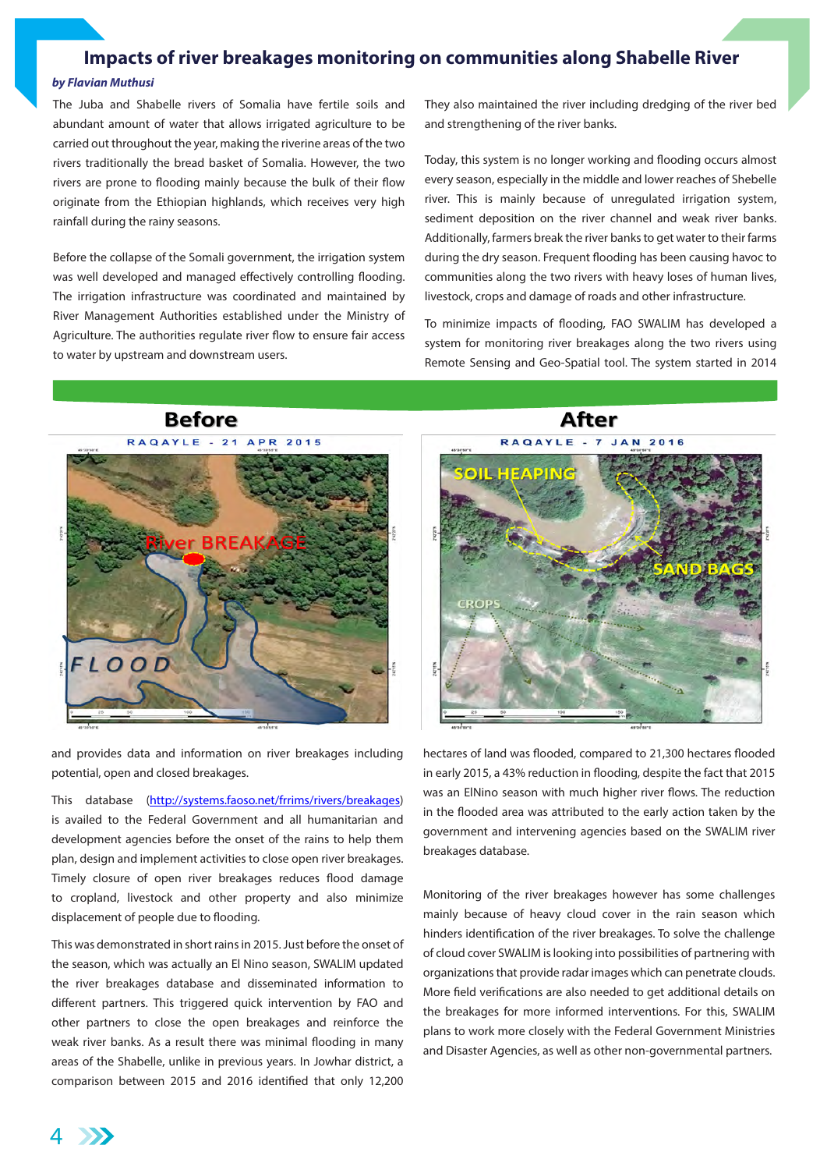## **Impacts of river breakages monitoring on communities along Shabelle River**

#### *by Flavian Muthusi*

The Juba and Shabelle rivers of Somalia have fertile soils and abundant amount of water that allows irrigated agriculture to be carried out throughout the year, making the riverine areas of the two rivers traditionally the bread basket of Somalia. However, the two rivers are prone to flooding mainly because the bulk of their flow originate from the Ethiopian highlands, which receives very high rainfall during the rainy seasons.

Before the collapse of the Somali government, the irrigation system was well developed and managed effectively controlling flooding. The irrigation infrastructure was coordinated and maintained by River Management Authorities established under the Ministry of Agriculture. The authorities regulate river flow to ensure fair access to water by upstream and downstream users.

They also maintained the river including dredging of the river bed and strengthening of the river banks.

Today, this system is no longer working and flooding occurs almost every season, especially in the middle and lower reaches of Shebelle river. This is mainly because of unregulated irrigation system, sediment deposition on the river channel and weak river banks. Additionally, farmers break the river banks to get water to their farms during the dry season. Frequent flooding has been causing havoc to communities along the two rivers with heavy loses of human lives, livestock, crops and damage of roads and other infrastructure.

To minimize impacts of flooding, FAO SWALIM has developed a system for monitoring river breakages along the two rivers using Remote Sensing and Geo-Spatial tool. The system started in 2014

**After** 

**Before** 



and provides data and information on river breakages including potential, open and closed breakages.

This database ([http://systems.faoso.net/frrims/rivers/breakages\)](http://systems.faoso.net/frrims/rivers/breakages) is availed to the Federal Government and all humanitarian and development agencies before the onset of the rains to help them plan, design and implement activities to close open river breakages. Timely closure of open river breakages reduces flood damage to cropland, livestock and other property and also minimize displacement of people due to flooding.

This was demonstrated in short rains in 2015. Just before the onset of the season, which was actually an El Nino season, SWALIM updated the river breakages database and disseminated information to different partners. This triggered quick intervention by FAO and other partners to close the open breakages and reinforce the weak river banks. As a result there was minimal flooding in many areas of the Shabelle, unlike in previous years. In Jowhar district, a comparison between 2015 and 2016 identified that only 12,200

RAQAYLE -**JAN 2016 HEADH** CROPS

hectares of land was flooded, compared to 21,300 hectares flooded in early 2015, a 43% reduction in flooding, despite the fact that 2015 was an ElNino season with much higher river flows. The reduction in the flooded area was attributed to the early action taken by the government and intervening agencies based on the SWALIM river breakages database.

Monitoring of the river breakages however has some challenges mainly because of heavy cloud cover in the rain season which hinders identification of the river breakages. To solve the challenge of cloud cover SWALIM is looking into possibilities of partnering with organizations that provide radar images which can penetrate clouds. More field verifications are also needed to get additional details on the breakages for more informed interventions. For this, SWALIM plans to work more closely with the Federal Government Ministries and Disaster Agencies, as well as other non-governmental partners.

4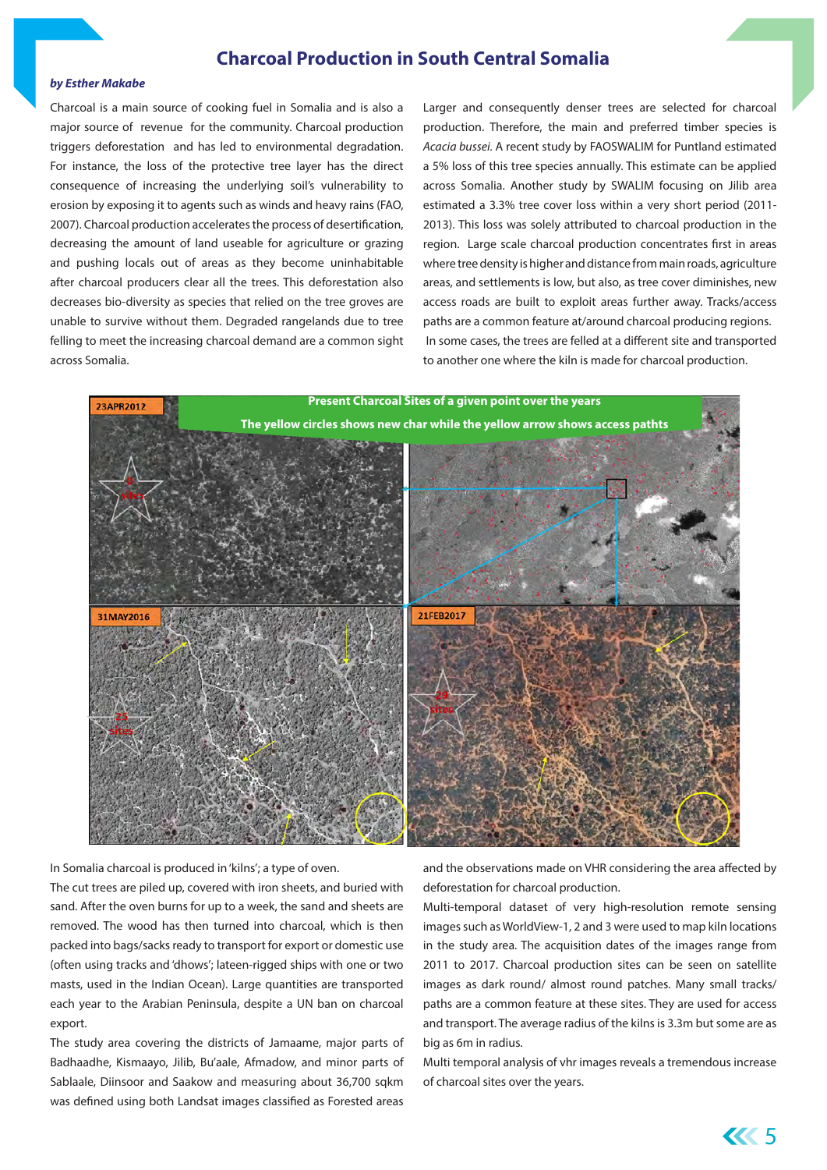# **Charcoal Production in South Central Somalia**

#### *by Esther Makabe*

Charcoal is a main source of cooking fuel in Somalia and is also a major source of revenue for the community. Charcoal production triggers deforestation and has led to environmental degradation. For instance, the loss of the protective tree layer has the direct consequence of increasing the underlying soil's vulnerability to erosion by exposing it to agents such as winds and heavy rains (FAO, 2007). Charcoal production accelerates the process of desertification, decreasing the amount of land useable for agriculture or grazing and pushing locals out of areas as they become uninhabitable after charcoal producers clear all the trees. This deforestation also decreases bio-diversity as species that relied on the tree groves are unable to survive without them. Degraded rangelands due to tree felling to meet the increasing charcoal demand are a common sight across Somalia.

Larger and consequently denser trees are selected for charcoal production. Therefore, the main and preferred timber species is *Acacia bussei.* A recent study by FAOSWALIM for Puntland estimated a 5% loss of this tree species annually. This estimate can be applied across Somalia. Another study by SWALIM focusing on Jilib area estimated a 3.3% tree cover loss within a very short period (2011- 2013). This loss was solely attributed to charcoal production in the region. Large scale charcoal production concentrates first in areas where tree density is higher and distance from main roads, agriculture areas, and settlements is low, but also, as tree cover diminishes, new access roads are built to exploit areas further away. Tracks/access paths are a common feature at/around charcoal producing regions. In some cases, the trees are felled at a different site and transported to another one where the kiln is made for charcoal production.



In Somalia charcoal is produced in 'kilns'; a type of oven.

The cut trees are piled up, covered with iron sheets, and buried with sand. After the oven burns for up to a week, the sand and sheets are removed. The wood has then turned into charcoal, which is then packed into bags/sacks ready to transport for export or domestic use (often using tracks and 'dhows'; lateen-rigged ships with one or two masts, used in the Indian Ocean). Large quantities are transported each year to the Arabian Peninsula, despite a UN ban on charcoal export.

The study area covering the districts of Jamaame, major parts of Badhaadhe, Kismaayo, Jilib, Bu'aale, Afmadow, and minor parts of Sablaale, Diinsoor and Saakow and measuring about 36,700 sqkm was defined using both Landsat images classified as Forested areas

and the observations made on VHR considering the area affected by deforestation for charcoal production.

Multi-temporal dataset of very high-resolution remote sensing images such as WorldView-1, 2 and 3 were used to map kiln locations in the study area. The acquisition dates of the images range from 2011 to 2017. Charcoal production sites can be seen on satellite images as dark round/ almost round patches. Many small tracks/ paths are a common feature at these sites. They are used for access and transport. The average radius of the kilns is 3.3m but some are as big as 6m in radius.

Multi temporal analysis of vhr images reveals a tremendous increase of charcoal sites over the years.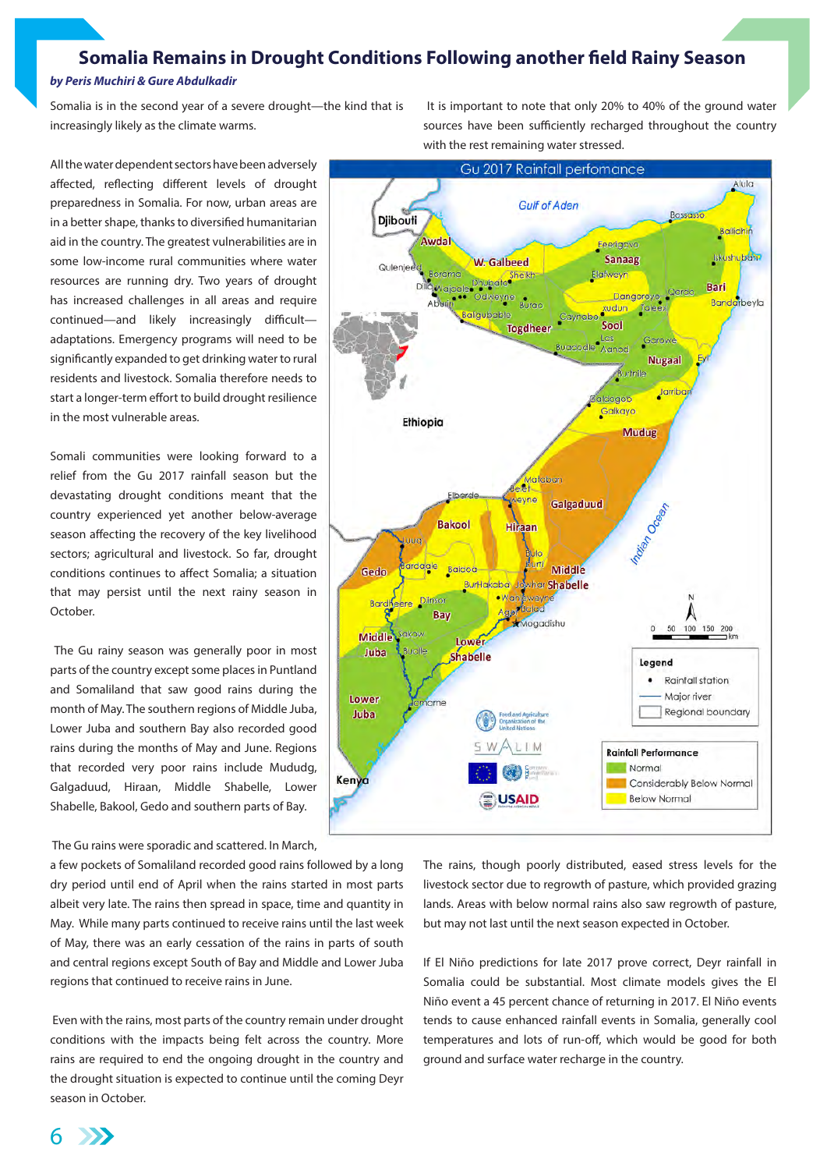# **Somalia Remains in Drought Conditions Following another field Rainy Season**

#### *by Peris Muchiri & Gure Abdulkadir*

Somalia is in the second year of a severe drought—the kind that is increasingly likely as the climate warms.

All the water dependent sectors have been adversely affected, reflecting different levels of drought preparedness in Somalia. For now, urban areas are in a better shape, thanks to diversified humanitarian aid in the country. The greatest vulnerabilities are in some low-income rural communities where water resources are running dry. Two years of drought has increased challenges in all areas and require continued—and likely increasingly difficult adaptations. Emergency programs will need to be significantly expanded to get drinking water to rural residents and livestock. Somalia therefore needs to start a longer-term effort to build drought resilience in the most vulnerable areas.

Somali communities were looking forward to a relief from the Gu 2017 rainfall season but the devastating drought conditions meant that the country experienced yet another below-average season affecting the recovery of the key livelihood sectors; agricultural and livestock. So far, drought conditions continues to affect Somalia; a situation that may persist until the next rainy season in October.

 The Gu rainy season was generally poor in most parts of the country except some places in Puntland and Somaliland that saw good rains during the month of May. The southern regions of Middle Juba, Lower Juba and southern Bay also recorded good rains during the months of May and June. Regions that recorded very poor rains include Mududg, Galgaduud, Hiraan, Middle Shabelle, Lower Shabelle, Bakool, Gedo and southern parts of Bay.

The Gu rains were sporadic and scattered. In March,

a few pockets of Somaliland recorded good rains followed by a long dry period until end of April when the rains started in most parts albeit very late. The rains then spread in space, time and quantity in May. While many parts continued to receive rains until the last week of May, there was an early cessation of the rains in parts of south and central regions except South of Bay and Middle and Lower Juba regions that continued to receive rains in June.

 Even with the rains, most parts of the country remain under drought conditions with the impacts being felt across the country. More rains are required to end the ongoing drought in the country and the drought situation is expected to continue until the coming Deyr season in October.

 It is important to note that only 20% to 40% of the ground water sources have been sufficiently recharged throughout the country with the rest remaining water stressed.



The rains, though poorly distributed, eased stress levels for the livestock sector due to regrowth of pasture, which provided grazing lands. Areas with below normal rains also saw regrowth of pasture, but may not last until the next season expected in October.

If El Niño predictions for late 2017 prove correct, Deyr rainfall in Somalia could be substantial. Most climate models gives the El Niño event a 45 percent chance of returning in 2017. El Niño events tends to cause enhanced rainfall events in Somalia, generally cool temperatures and lots of run-off, which would be good for both ground and surface water recharge in the country.

6  $\rightarrow$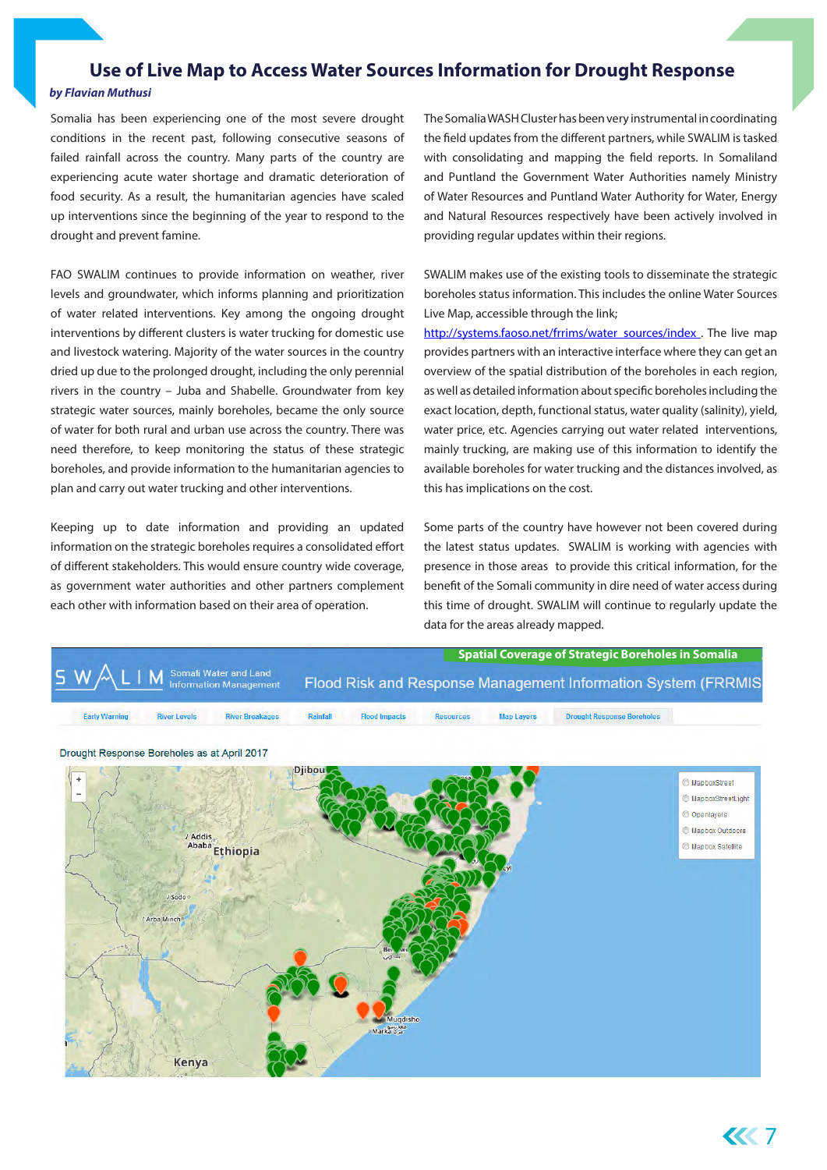# **Use of Live Map to Access Water Sources Information for Drought Response**

#### *by Flavian Muthusi*

Somalia has been experiencing one of the most severe drought conditions in the recent past, following consecutive seasons of failed rainfall across the country. Many parts of the country are experiencing acute water shortage and dramatic deterioration of food security. As a result, the humanitarian agencies have scaled up interventions since the beginning of the year to respond to the drought and prevent famine.

FAO SWALIM continues to provide information on weather, river levels and groundwater, which informs planning and prioritization of water related interventions. Key among the ongoing drought interventions by different clusters is water trucking for domestic use and livestock watering. Majority of the water sources in the country dried up due to the prolonged drought, including the only perennial rivers in the country – Juba and Shabelle. Groundwater from key strategic water sources, mainly boreholes, became the only source of water for both rural and urban use across the country. There was need therefore, to keep monitoring the status of these strategic boreholes, and provide information to the humanitarian agencies to plan and carry out water trucking and other interventions.

Keeping up to date information and providing an updated information on the strategic boreholes requires a consolidated effort of different stakeholders. This would ensure country wide coverage, as government water authorities and other partners complement each other with information based on their area of operation.

The Somalia WASH Cluster has been very instrumental in coordinating the field updates from the different partners, while SWALIM is tasked with consolidating and mapping the field reports. In Somaliland and Puntland the Government Water Authorities namely Ministry of Water Resources and Puntland Water Authority for Water, Energy and Natural Resources respectively have been actively involved in providing regular updates within their regions.

SWALIM makes use of the existing tools to disseminate the strategic boreholes status information. This includes the online Water Sources Live Map, accessible through the link;

[http://systems.faoso.net/frrims/water\\_sources/index](http://systems.faoso.net/frrims/water_sources/index) . The live map provides partners with an interactive interface where they can get an overview of the spatial distribution of the boreholes in each region, as well as detailed information about specific boreholes including the exact location, depth, functional status, water quality (salinity), yield, water price, etc. Agencies carrying out water related interventions, mainly trucking, are making use of this information to identify the available boreholes for water trucking and the distances involved, as this has implications on the cost.

Some parts of the country have however not been covered during the latest status updates. SWALIM is working with agencies with presence in those areas to provide this critical information, for the benefit of the Somali community in dire need of water access during this time of drought. SWALIM will continue to regularly update the data for the areas already mapped.